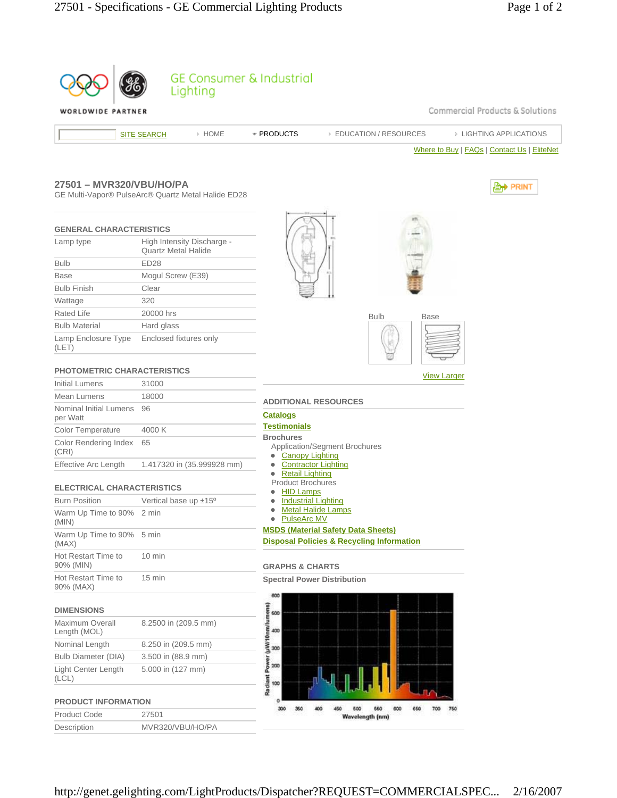| Commercial Products & Solutions<br>WORLDWIDE PARTNER<br>* PRODUCTS<br><b>EIGHTING APPLICATIONS</b><br>> HOME<br><b>EDUCATION / RESOURCES</b><br><b>SITE SEARCH</b><br>Where to Buy   FAQs   Contact Us   EliteNet<br>27501 - MVR320/VBU/HO/PA<br><b>Ent PRINT</b><br>GE Multi-Vapor® PulseArc® Quartz Metal Halide ED28<br><b>GENERAL CHARACTERISTICS</b><br>High Intensity Discharge -<br>Lamp type<br><b>Quartz Metal Halide</b><br><b>ED28</b><br><b>Bulb</b><br>Mogul Screw (E39)<br><b>Base</b><br><b>Bulb Finish</b><br>Clear<br>320<br>Wattage<br><b>Rated Life</b><br>20000 hrs<br><b>Bulb</b><br><b>Base</b><br><b>Bulb Material</b><br>Hard glass<br>Lamp Enclosure Type<br>Enclosed fixtures only<br>(LET)<br><b>PHOTOMETRIC CHARACTERISTICS</b><br><b>View Larger</b><br><b>Initial Lumens</b><br>31000<br>Mean Lumens<br>18000<br><b>ADDITIONAL RESOURCES</b><br>Nominal Initial Lumens<br>96<br><b>Catalogs</b><br>per Watt<br><b>Testimonials</b><br>4000 K<br>Color Temperature<br><b>Brochures</b><br>Color Rendering Index<br>65<br><b>Application/Segment Brochures</b><br>(CRI)<br>• Canopy Lighting<br><b>Effective Arc Length</b><br>1.417320 in (35.999928 mm)<br><b>Contractor Lighting</b><br><b>Retail Lighting</b><br><b>Product Brochures</b><br><b>ELECTRICAL CHARACTERISTICS</b><br><b>HID Lamps</b><br><b>Burn Position</b><br>Vertical base up $±15^{\circ}$<br><b>Industrial Lighting</b><br><u> Metal Halide Lamps</u><br>$\bullet$<br>Warm Up Time to 90% 2 min<br>• PulseArc MV<br>(MIN)<br><b>MSDS (Material Safety Data Sheets)</b><br>Warm Up Time to 90% 5 min<br><b>Disposal Policies &amp; Recycling Information</b><br>(MAX)<br>Hot Restart Time to<br>10 min<br>90% (MIN)<br><b>GRAPHS &amp; CHARTS</b><br>Hot Restart Time to<br>$15$ min<br><b>Spectral Power Distribution</b><br>90% (MAX)<br>600<br>(uWi10nm/lumens)<br><b>DIMENSIONS</b><br>600<br>Maximum Overall<br>8.2500 in (209.5 mm)<br>400<br>Length (MOL)<br>Nominal Length<br>8.250 in (209.5 mm)<br>300<br><b>Bulb Diameter (DIA)</b><br>3.500 in (88.9 mm)<br>Power<br>200<br><b>Light Center Length</b><br>5.000 in (127 mm)<br>Radiant<br>(CL)<br>100<br>o<br><b>PRODUCT INFORMATION</b><br>300<br>500<br>360<br>400<br>460<br>600<br>650<br>700<br>760<br><b>Product Code</b><br>27501<br>Wavelength (nm)<br>Description<br>MVR320/VBU/HO/PA |  |  | Lighting | <b>GE Consumer &amp; Industrial</b> |  |  |  |  |  |  |  |
|-------------------------------------------------------------------------------------------------------------------------------------------------------------------------------------------------------------------------------------------------------------------------------------------------------------------------------------------------------------------------------------------------------------------------------------------------------------------------------------------------------------------------------------------------------------------------------------------------------------------------------------------------------------------------------------------------------------------------------------------------------------------------------------------------------------------------------------------------------------------------------------------------------------------------------------------------------------------------------------------------------------------------------------------------------------------------------------------------------------------------------------------------------------------------------------------------------------------------------------------------------------------------------------------------------------------------------------------------------------------------------------------------------------------------------------------------------------------------------------------------------------------------------------------------------------------------------------------------------------------------------------------------------------------------------------------------------------------------------------------------------------------------------------------------------------------------------------------------------------------------------------------------------------------------------------------------------------------------------------------------------------------------------------------------------------------------------------------------------------------------------------------------------------------------------------------------------------------------------------------------------------------------------------------------------------------------------------------------------------|--|--|----------|-------------------------------------|--|--|--|--|--|--|--|
|                                                                                                                                                                                                                                                                                                                                                                                                                                                                                                                                                                                                                                                                                                                                                                                                                                                                                                                                                                                                                                                                                                                                                                                                                                                                                                                                                                                                                                                                                                                                                                                                                                                                                                                                                                                                                                                                                                                                                                                                                                                                                                                                                                                                                                                                                                                                                             |  |  |          |                                     |  |  |  |  |  |  |  |
|                                                                                                                                                                                                                                                                                                                                                                                                                                                                                                                                                                                                                                                                                                                                                                                                                                                                                                                                                                                                                                                                                                                                                                                                                                                                                                                                                                                                                                                                                                                                                                                                                                                                                                                                                                                                                                                                                                                                                                                                                                                                                                                                                                                                                                                                                                                                                             |  |  |          |                                     |  |  |  |  |  |  |  |
|                                                                                                                                                                                                                                                                                                                                                                                                                                                                                                                                                                                                                                                                                                                                                                                                                                                                                                                                                                                                                                                                                                                                                                                                                                                                                                                                                                                                                                                                                                                                                                                                                                                                                                                                                                                                                                                                                                                                                                                                                                                                                                                                                                                                                                                                                                                                                             |  |  |          |                                     |  |  |  |  |  |  |  |
|                                                                                                                                                                                                                                                                                                                                                                                                                                                                                                                                                                                                                                                                                                                                                                                                                                                                                                                                                                                                                                                                                                                                                                                                                                                                                                                                                                                                                                                                                                                                                                                                                                                                                                                                                                                                                                                                                                                                                                                                                                                                                                                                                                                                                                                                                                                                                             |  |  |          |                                     |  |  |  |  |  |  |  |
|                                                                                                                                                                                                                                                                                                                                                                                                                                                                                                                                                                                                                                                                                                                                                                                                                                                                                                                                                                                                                                                                                                                                                                                                                                                                                                                                                                                                                                                                                                                                                                                                                                                                                                                                                                                                                                                                                                                                                                                                                                                                                                                                                                                                                                                                                                                                                             |  |  |          |                                     |  |  |  |  |  |  |  |
|                                                                                                                                                                                                                                                                                                                                                                                                                                                                                                                                                                                                                                                                                                                                                                                                                                                                                                                                                                                                                                                                                                                                                                                                                                                                                                                                                                                                                                                                                                                                                                                                                                                                                                                                                                                                                                                                                                                                                                                                                                                                                                                                                                                                                                                                                                                                                             |  |  |          |                                     |  |  |  |  |  |  |  |
|                                                                                                                                                                                                                                                                                                                                                                                                                                                                                                                                                                                                                                                                                                                                                                                                                                                                                                                                                                                                                                                                                                                                                                                                                                                                                                                                                                                                                                                                                                                                                                                                                                                                                                                                                                                                                                                                                                                                                                                                                                                                                                                                                                                                                                                                                                                                                             |  |  |          |                                     |  |  |  |  |  |  |  |
|                                                                                                                                                                                                                                                                                                                                                                                                                                                                                                                                                                                                                                                                                                                                                                                                                                                                                                                                                                                                                                                                                                                                                                                                                                                                                                                                                                                                                                                                                                                                                                                                                                                                                                                                                                                                                                                                                                                                                                                                                                                                                                                                                                                                                                                                                                                                                             |  |  |          |                                     |  |  |  |  |  |  |  |
|                                                                                                                                                                                                                                                                                                                                                                                                                                                                                                                                                                                                                                                                                                                                                                                                                                                                                                                                                                                                                                                                                                                                                                                                                                                                                                                                                                                                                                                                                                                                                                                                                                                                                                                                                                                                                                                                                                                                                                                                                                                                                                                                                                                                                                                                                                                                                             |  |  |          |                                     |  |  |  |  |  |  |  |
|                                                                                                                                                                                                                                                                                                                                                                                                                                                                                                                                                                                                                                                                                                                                                                                                                                                                                                                                                                                                                                                                                                                                                                                                                                                                                                                                                                                                                                                                                                                                                                                                                                                                                                                                                                                                                                                                                                                                                                                                                                                                                                                                                                                                                                                                                                                                                             |  |  |          |                                     |  |  |  |  |  |  |  |
|                                                                                                                                                                                                                                                                                                                                                                                                                                                                                                                                                                                                                                                                                                                                                                                                                                                                                                                                                                                                                                                                                                                                                                                                                                                                                                                                                                                                                                                                                                                                                                                                                                                                                                                                                                                                                                                                                                                                                                                                                                                                                                                                                                                                                                                                                                                                                             |  |  |          |                                     |  |  |  |  |  |  |  |
|                                                                                                                                                                                                                                                                                                                                                                                                                                                                                                                                                                                                                                                                                                                                                                                                                                                                                                                                                                                                                                                                                                                                                                                                                                                                                                                                                                                                                                                                                                                                                                                                                                                                                                                                                                                                                                                                                                                                                                                                                                                                                                                                                                                                                                                                                                                                                             |  |  |          |                                     |  |  |  |  |  |  |  |
|                                                                                                                                                                                                                                                                                                                                                                                                                                                                                                                                                                                                                                                                                                                                                                                                                                                                                                                                                                                                                                                                                                                                                                                                                                                                                                                                                                                                                                                                                                                                                                                                                                                                                                                                                                                                                                                                                                                                                                                                                                                                                                                                                                                                                                                                                                                                                             |  |  |          |                                     |  |  |  |  |  |  |  |
|                                                                                                                                                                                                                                                                                                                                                                                                                                                                                                                                                                                                                                                                                                                                                                                                                                                                                                                                                                                                                                                                                                                                                                                                                                                                                                                                                                                                                                                                                                                                                                                                                                                                                                                                                                                                                                                                                                                                                                                                                                                                                                                                                                                                                                                                                                                                                             |  |  |          |                                     |  |  |  |  |  |  |  |
|                                                                                                                                                                                                                                                                                                                                                                                                                                                                                                                                                                                                                                                                                                                                                                                                                                                                                                                                                                                                                                                                                                                                                                                                                                                                                                                                                                                                                                                                                                                                                                                                                                                                                                                                                                                                                                                                                                                                                                                                                                                                                                                                                                                                                                                                                                                                                             |  |  |          |                                     |  |  |  |  |  |  |  |
|                                                                                                                                                                                                                                                                                                                                                                                                                                                                                                                                                                                                                                                                                                                                                                                                                                                                                                                                                                                                                                                                                                                                                                                                                                                                                                                                                                                                                                                                                                                                                                                                                                                                                                                                                                                                                                                                                                                                                                                                                                                                                                                                                                                                                                                                                                                                                             |  |  |          |                                     |  |  |  |  |  |  |  |
|                                                                                                                                                                                                                                                                                                                                                                                                                                                                                                                                                                                                                                                                                                                                                                                                                                                                                                                                                                                                                                                                                                                                                                                                                                                                                                                                                                                                                                                                                                                                                                                                                                                                                                                                                                                                                                                                                                                                                                                                                                                                                                                                                                                                                                                                                                                                                             |  |  |          |                                     |  |  |  |  |  |  |  |
|                                                                                                                                                                                                                                                                                                                                                                                                                                                                                                                                                                                                                                                                                                                                                                                                                                                                                                                                                                                                                                                                                                                                                                                                                                                                                                                                                                                                                                                                                                                                                                                                                                                                                                                                                                                                                                                                                                                                                                                                                                                                                                                                                                                                                                                                                                                                                             |  |  |          |                                     |  |  |  |  |  |  |  |
|                                                                                                                                                                                                                                                                                                                                                                                                                                                                                                                                                                                                                                                                                                                                                                                                                                                                                                                                                                                                                                                                                                                                                                                                                                                                                                                                                                                                                                                                                                                                                                                                                                                                                                                                                                                                                                                                                                                                                                                                                                                                                                                                                                                                                                                                                                                                                             |  |  |          |                                     |  |  |  |  |  |  |  |
|                                                                                                                                                                                                                                                                                                                                                                                                                                                                                                                                                                                                                                                                                                                                                                                                                                                                                                                                                                                                                                                                                                                                                                                                                                                                                                                                                                                                                                                                                                                                                                                                                                                                                                                                                                                                                                                                                                                                                                                                                                                                                                                                                                                                                                                                                                                                                             |  |  |          |                                     |  |  |  |  |  |  |  |
|                                                                                                                                                                                                                                                                                                                                                                                                                                                                                                                                                                                                                                                                                                                                                                                                                                                                                                                                                                                                                                                                                                                                                                                                                                                                                                                                                                                                                                                                                                                                                                                                                                                                                                                                                                                                                                                                                                                                                                                                                                                                                                                                                                                                                                                                                                                                                             |  |  |          |                                     |  |  |  |  |  |  |  |
|                                                                                                                                                                                                                                                                                                                                                                                                                                                                                                                                                                                                                                                                                                                                                                                                                                                                                                                                                                                                                                                                                                                                                                                                                                                                                                                                                                                                                                                                                                                                                                                                                                                                                                                                                                                                                                                                                                                                                                                                                                                                                                                                                                                                                                                                                                                                                             |  |  |          |                                     |  |  |  |  |  |  |  |
|                                                                                                                                                                                                                                                                                                                                                                                                                                                                                                                                                                                                                                                                                                                                                                                                                                                                                                                                                                                                                                                                                                                                                                                                                                                                                                                                                                                                                                                                                                                                                                                                                                                                                                                                                                                                                                                                                                                                                                                                                                                                                                                                                                                                                                                                                                                                                             |  |  |          |                                     |  |  |  |  |  |  |  |
|                                                                                                                                                                                                                                                                                                                                                                                                                                                                                                                                                                                                                                                                                                                                                                                                                                                                                                                                                                                                                                                                                                                                                                                                                                                                                                                                                                                                                                                                                                                                                                                                                                                                                                                                                                                                                                                                                                                                                                                                                                                                                                                                                                                                                                                                                                                                                             |  |  |          |                                     |  |  |  |  |  |  |  |
|                                                                                                                                                                                                                                                                                                                                                                                                                                                                                                                                                                                                                                                                                                                                                                                                                                                                                                                                                                                                                                                                                                                                                                                                                                                                                                                                                                                                                                                                                                                                                                                                                                                                                                                                                                                                                                                                                                                                                                                                                                                                                                                                                                                                                                                                                                                                                             |  |  |          |                                     |  |  |  |  |  |  |  |
|                                                                                                                                                                                                                                                                                                                                                                                                                                                                                                                                                                                                                                                                                                                                                                                                                                                                                                                                                                                                                                                                                                                                                                                                                                                                                                                                                                                                                                                                                                                                                                                                                                                                                                                                                                                                                                                                                                                                                                                                                                                                                                                                                                                                                                                                                                                                                             |  |  |          |                                     |  |  |  |  |  |  |  |
|                                                                                                                                                                                                                                                                                                                                                                                                                                                                                                                                                                                                                                                                                                                                                                                                                                                                                                                                                                                                                                                                                                                                                                                                                                                                                                                                                                                                                                                                                                                                                                                                                                                                                                                                                                                                                                                                                                                                                                                                                                                                                                                                                                                                                                                                                                                                                             |  |  |          |                                     |  |  |  |  |  |  |  |
|                                                                                                                                                                                                                                                                                                                                                                                                                                                                                                                                                                                                                                                                                                                                                                                                                                                                                                                                                                                                                                                                                                                                                                                                                                                                                                                                                                                                                                                                                                                                                                                                                                                                                                                                                                                                                                                                                                                                                                                                                                                                                                                                                                                                                                                                                                                                                             |  |  |          |                                     |  |  |  |  |  |  |  |
|                                                                                                                                                                                                                                                                                                                                                                                                                                                                                                                                                                                                                                                                                                                                                                                                                                                                                                                                                                                                                                                                                                                                                                                                                                                                                                                                                                                                                                                                                                                                                                                                                                                                                                                                                                                                                                                                                                                                                                                                                                                                                                                                                                                                                                                                                                                                                             |  |  |          |                                     |  |  |  |  |  |  |  |
|                                                                                                                                                                                                                                                                                                                                                                                                                                                                                                                                                                                                                                                                                                                                                                                                                                                                                                                                                                                                                                                                                                                                                                                                                                                                                                                                                                                                                                                                                                                                                                                                                                                                                                                                                                                                                                                                                                                                                                                                                                                                                                                                                                                                                                                                                                                                                             |  |  |          |                                     |  |  |  |  |  |  |  |
|                                                                                                                                                                                                                                                                                                                                                                                                                                                                                                                                                                                                                                                                                                                                                                                                                                                                                                                                                                                                                                                                                                                                                                                                                                                                                                                                                                                                                                                                                                                                                                                                                                                                                                                                                                                                                                                                                                                                                                                                                                                                                                                                                                                                                                                                                                                                                             |  |  |          |                                     |  |  |  |  |  |  |  |
|                                                                                                                                                                                                                                                                                                                                                                                                                                                                                                                                                                                                                                                                                                                                                                                                                                                                                                                                                                                                                                                                                                                                                                                                                                                                                                                                                                                                                                                                                                                                                                                                                                                                                                                                                                                                                                                                                                                                                                                                                                                                                                                                                                                                                                                                                                                                                             |  |  |          |                                     |  |  |  |  |  |  |  |
|                                                                                                                                                                                                                                                                                                                                                                                                                                                                                                                                                                                                                                                                                                                                                                                                                                                                                                                                                                                                                                                                                                                                                                                                                                                                                                                                                                                                                                                                                                                                                                                                                                                                                                                                                                                                                                                                                                                                                                                                                                                                                                                                                                                                                                                                                                                                                             |  |  |          |                                     |  |  |  |  |  |  |  |